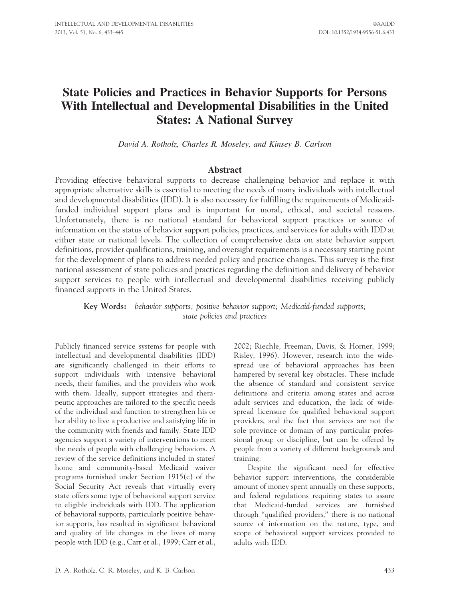# State Policies and Practices in Behavior Supports for Persons With Intellectual and Developmental Disabilities in the United States: A National Survey

David A. Rotholz, Charles R. Moseley, and Kinsey B. Carlson

#### Abstract

Providing effective behavioral supports to decrease challenging behavior and replace it with appropriate alternative skills is essential to meeting the needs of many individuals with intellectual and developmental disabilities (IDD). It is also necessary for fulfilling the requirements of Medicaidfunded individual support plans and is important for moral, ethical, and societal reasons. Unfortunately, there is no national standard for behavioral support practices or source of information on the status of behavior support policies, practices, and services for adults with IDD at either state or national levels. The collection of comprehensive data on state behavior support definitions, provider qualifications, training, and oversight requirements is a necessary starting point for the development of plans to address needed policy and practice changes. This survey is the first national assessment of state policies and practices regarding the definition and delivery of behavior support services to people with intellectual and developmental disabilities receiving publicly financed supports in the United States.

Key Words: behavior supports; positive behavior support; Medicaid-funded supports; state policies and practices

Publicly financed service systems for people with intellectual and developmental disabilities (IDD) are significantly challenged in their efforts to support individuals with intensive behavioral needs, their families, and the providers who work with them. Ideally, support strategies and therapeutic approaches are tailored to the specific needs of the individual and function to strengthen his or her ability to live a productive and satisfying life in the community with friends and family. State IDD agencies support a variety of interventions to meet the needs of people with challenging behaviors. A review of the service definitions included in states' home and community-based Medicaid waiver programs furnished under Section 1915(c) of the Social Security Act reveals that virtually every state offers some type of behavioral support service to eligible individuals with IDD. The application of behavioral supports, particularly positive behavior supports, has resulted in significant behavioral and quality of life changes in the lives of many people with IDD (e.g., Carr et al., 1999; Carr et al., 2002; Riechle, Freeman, Davis, & Horner, 1999; Risley, 1996). However, research into the widespread use of behavioral approaches has been hampered by several key obstacles. These include the absence of standard and consistent service definitions and criteria among states and across adult services and education, the lack of widespread licensure for qualified behavioral support providers, and the fact that services are not the sole province or domain of any particular professional group or discipline, but can be offered by people from a variety of different backgrounds and training.

Despite the significant need for effective behavior support interventions, the considerable amount of money spent annually on these supports, and federal regulations requiring states to assure that Medicaid-funded services are furnished through ''qualified providers,'' there is no national source of information on the nature, type, and scope of behavioral support services provided to adults with IDD.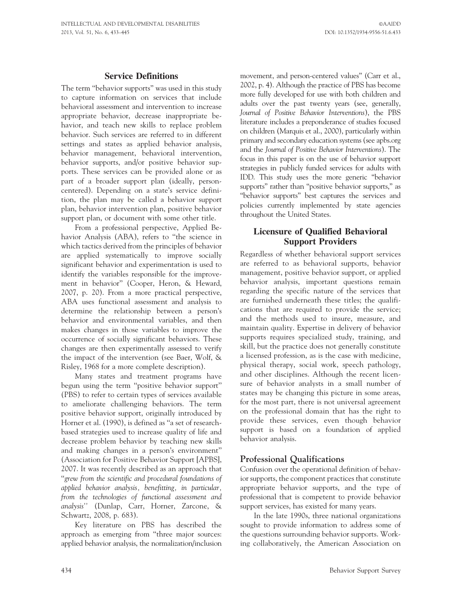#### Service Definitions

The term ''behavior supports'' was used in this study to capture information on services that include behavioral assessment and intervention to increase appropriate behavior, decrease inappropriate behavior, and teach new skills to replace problem behavior. Such services are referred to in different settings and states as applied behavior analysis, behavior management, behavioral intervention, behavior supports, and/or positive behavior supports. These services can be provided alone or as part of a broader support plan (ideally, personcentered). Depending on a state's service definition, the plan may be called a behavior support plan, behavior intervention plan, positive behavior support plan, or document with some other title.

From a professional perspective, Applied Behavior Analysis (ABA), refers to ''the science in which tactics derived from the principles of behavior are applied systematically to improve socially significant behavior and experimentation is used to identify the variables responsible for the improvement in behavior'' (Cooper, Heron, & Heward, 2007, p. 20). From a more practical perspective, ABA uses functional assessment and analysis to determine the relationship between a person's behavior and environmental variables, and then makes changes in those variables to improve the occurrence of socially significant behaviors. These changes are then experimentally assessed to verify the impact of the intervention (see Baer, Wolf, & Risley, 1968 for a more complete description).

Many states and treatment programs have begun using the term ''positive behavior support'' (PBS) to refer to certain types of services available to ameliorate challenging behaviors. The term positive behavior support, originally introduced by Horner et al. (1990), is defined as ''a set of researchbased strategies used to increase quality of life and decrease problem behavior by teaching new skills and making changes in a person's environment'' (Association for Positive Behavior Support [APBS], 2007. It was recently described as an approach that ''grew from the scientific and procedural foundations of applied behavior analysis, benefitting, in particular, from the technologies of functional assessment and analysis'' (Dunlap, Carr, Horner, Zarcone, & Schwartz, 2008, p. 683).

Key literature on PBS has described the approach as emerging from ''three major sources: applied behavior analysis, the normalization/inclusion movement, and person-centered values'' (Carr et al., 2002, p. 4). Although the practice of PBS has become more fully developed for use with both children and adults over the past twenty years (see, generally, Journal of Positive Behavior Interventions), the PBS literature includes a preponderance of studies focused on children (Marquis et al., 2000), particularly within primary and secondary education systems (see apbs.org and the Journal of Positive Behavior Interventions). The focus in this paper is on the use of behavior support strategies in publicly funded services for adults with IDD. This study uses the more generic ''behavior supports'' rather than ''positive behavior supports,'' as "behavior supports" best captures the services and policies currently implemented by state agencies throughout the United States.

## Licensure of Qualified Behavioral Support Providers

Regardless of whether behavioral support services are referred to as behavioral supports, behavior management, positive behavior support, or applied behavior analysis, important questions remain regarding the specific nature of the services that are furnished underneath these titles; the qualifications that are required to provide the service; and the methods used to insure, measure, and maintain quality. Expertise in delivery of behavior supports requires specialized study, training, and skill, but the practice does not generally constitute a licensed profession, as is the case with medicine, physical therapy, social work, speech pathology, and other disciplines. Although the recent licensure of behavior analysts in a small number of states may be changing this picture in some areas, for the most part, there is not universal agreement on the professional domain that has the right to provide these services, even though behavior support is based on a foundation of applied behavior analysis.

## Professional Qualifications

Confusion over the operational definition of behavior supports, the component practices that constitute appropriate behavior supports, and the type of professional that is competent to provide behavior support services, has existed for many years.

In the late 1990s, three national organizations sought to provide information to address some of the questions surrounding behavior supports. Working collaboratively, the American Association on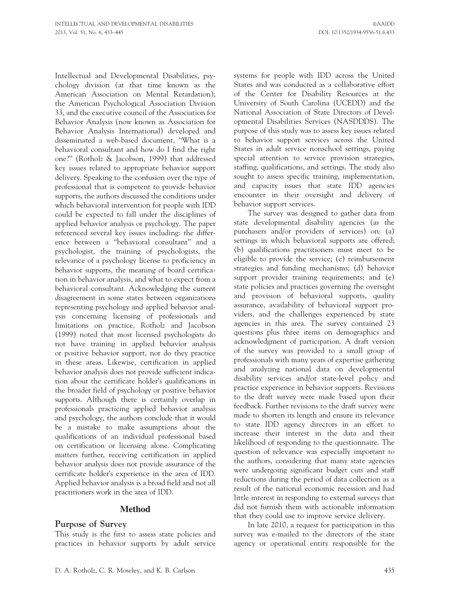Intellectual and Developmental Disabilities, psychology division (at that time known as the American Association on Mental Retardation); the American Psychological Association Division 33, and the executive council of the Association for Behavior Analysis (now known as Association for Behavior Analysis International) developed and disseminated a web-based document, ''What is a behavioral consultant and how do I find the right one?'' (Rotholz & Jacobson, 1999) that addressed key issues related to appropriate behavior support delivery. Speaking to the confusion over the type of professional that is competent to provide behavior supports, the authors discussed the conditions under which behavioral intervention for people with IDD could be expected to fall under the disciplines of applied behavior analysis or psychology. The paper referenced several key issues including: the difference between a ''behavioral consultant'' and a psychologist, the training of psychologists, the relevance of a psychology license to proficiency in behavior supports, the meaning of board certification in behavior analysis, and what to expect from a behavioral consultant. Acknowledging the current disagreement in some states between organizations representing psychology and applied behavior analysis concerning licensing of professionals and limitations on practice, Rotholz and Jacobson (1999) noted that most licensed psychologists do not have training in applied behavior analysis or positive behavior support, nor do they practice in these areas. Likewise, certification in applied behavior analysis does not provide sufficient indication about the certificate holder's qualifications in the broader field of psychology or positive behavior supports. Although there is certainly overlap in professionals practicing applied behavior analysis and psychology, the authors conclude that it would be a mistake to make assumptions about the qualifications of an individual professional based on certification or licensing alone. Complicating matters further, receiving certification in applied behavior analysis does not provide assurance of the certificate holder's experience in the area of IDD. Applied behavior analysis is a broad field and not all practitioners work in the area of IDD.

#### Method

#### Purpose of Survey

This study is the first to assess state policies and practices in behavior supports by adult service systems for people with IDD across the United States and was conducted as a collaborative effort of the Center for Disability Resources at the University of South Carolina (UCEDD) and the National Association of State Directors of Developmental Disabilities Services (NASDDDS). The purpose of this study was to assess key issues related to behavior support services across the United States in adult service nonschool settings, paying special attention to service provision strategies, staffing, qualifications, and settings. The study also sought to assess specific training, implementation, and capacity issues that state IDD agencies encounter in their oversight and delivery of behavior support services.

The survey was designed to gather data from state developmental disability agencies (as the purchasers and/or providers of services) on: (a) settings in which behavioral supports are offered; (b) qualifications practitioners must meet to be eligible to provide the service; (c) reimbursement strategies and funding mechanisms; (d) behavior support provider training requirements; and (e) state policies and practices governing the oversight and provision of behavioral supports, quality assurance, availability of behavioral support providers, and the challenges experienced by state agencies in this area. The survey contained 23 questions plus three items on demographics and acknowledgment of participation. A draft version of the survey was provided to a small group of professionals with many years of expertise gathering and analyzing national data on developmental disability services and/or state-level policy and practice experience in behavior supports. Revisions to the draft survey were made based upon their feedback. Further revisions to the draft survey were made to shorten its length and ensure its relevance to state IDD agency directors in an effort to increase their interest in the data and their likelihood of responding to the questionnaire. The question of relevance was especially important to the authors, considering that many state agencies were undergoing significant budget cuts and staff reductions during the period of data collection as a result of the national economic recession and had little interest in responding to external surveys that did not furnish them with actionable information that they could use to improve service delivery.

In late 2010, a request for participation in this survey was e-mailed to the directors of the state agency or operational entity responsible for the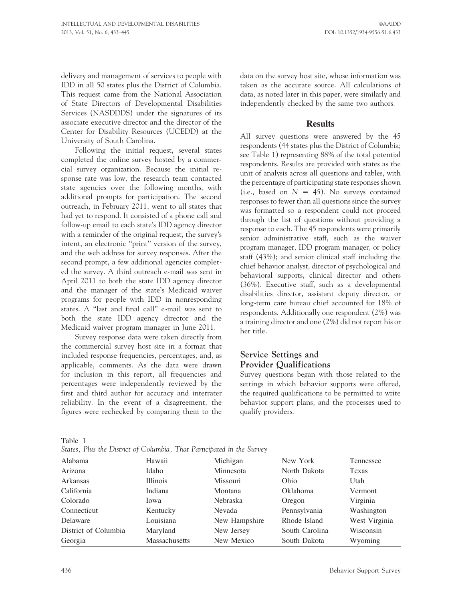delivery and management of services to people with IDD in all 50 states plus the District of Columbia. This request came from the National Association of State Directors of Developmental Disabilities Services (NASDDDS) under the signatures of its associate executive director and the director of the Center for Disability Resources (UCEDD) at the University of South Carolina.

Following the initial request, several states completed the online survey hosted by a commercial survey organization. Because the initial response rate was low, the research team contacted state agencies over the following months, with additional prompts for participation. The second outreach, in February 2011, went to all states that had yet to respond. It consisted of a phone call and follow-up email to each state's IDD agency director with a reminder of the original request, the survey's intent, an electronic ''print'' version of the survey, and the web address for survey responses. After the second prompt, a few additional agencies completed the survey. A third outreach e-mail was sent in April 2011 to both the state IDD agency director and the manager of the state's Medicaid waiver programs for people with IDD in nonresponding states. A ''last and final call'' e-mail was sent to both the state IDD agency director and the Medicaid waiver program manager in June 2011.

Survey response data were taken directly from the commercial survey host site in a format that included response frequencies, percentages, and, as applicable, comments. As the data were drawn for inclusion in this report, all frequencies and percentages were independently reviewed by the first and third author for accuracy and interrater reliability. In the event of a disagreement, the figures were rechecked by comparing them to the data on the survey host site, whose information was taken as the accurate source. All calculations of data, as noted later in this paper, were similarly and independently checked by the same two authors.

#### **Results**

All survey questions were answered by the 45 respondents (44 states plus the District of Columbia; see Table 1) representing 88% of the total potential respondents. Results are provided with states as the unit of analysis across all questions and tables, with the percentage of participating state responses shown (i.e., based on  $N = 45$ ). No surveys contained responses to fewer than all questions since the survey was formatted so a respondent could not proceed through the list of questions without providing a response to each. The 45 respondents were primarily senior administrative staff, such as the waiver program manager, IDD program manager, or policy staff (43%); and senior clinical staff including the chief behavior analyst, director of psychological and behavioral supports, clinical director and others (36%). Executive staff, such as a developmental disabilities director, assistant deputy director, or long-term care bureau chief accounted for 18% of respondents. Additionally one respondent (2%) was a training director and one (2%) did not report his or her title.

#### Service Settings and Provider Qualifications

Survey questions began with those related to the settings in which behavior supports were offered, the required qualifications to be permitted to write behavior support plans, and the processes used to qualify providers.

Table 1

States, Plus the District of Columbia, That Participated in the Survey

| Alabama              | Hawaii               | Michigan        | New York        | Tennessee     |
|----------------------|----------------------|-----------------|-----------------|---------------|
| Arizona              | Idaho                | Minnesota       | North Dakota    | Texas         |
| <b>Arkansas</b>      | Illinois             | <b>Missouri</b> | Ohio            | Utah          |
| California           | Indiana              | Montana         | <b>Oklahoma</b> | Vermont       |
| Colorado             | Iowa                 | <b>Nebraska</b> | Oregon          | Virginia      |
| Connecticut          | Kentucky             | Nevada          | Pennsylvania    | Washington    |
| Delaware             | Louisiana            | New Hampshire   | Rhode Island    | West Virginia |
| District of Columbia | Maryland             | New Jersey      | South Carolina  | Wisconsin     |
| Georgia              | <b>Massachusetts</b> | New Mexico      | South Dakota    | Wyoming       |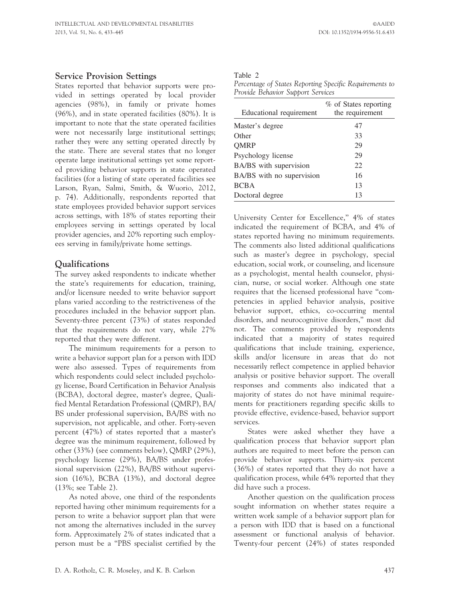States reported that behavior supports were provided in settings operated by local provider agencies (98%), in family or private homes (96%), and in state operated facilities (80%). It is important to note that the state operated facilities were not necessarily large institutional settings; rather they were any setting operated directly by the state. There are several states that no longer operate large institutional settings yet some reported providing behavior supports in state operated facilities (for a listing of state operated facilities see Larson, Ryan, Salmi, Smith, & Wuorio, 2012, p. 74). Additionally, respondents reported that state employees provided behavior support services across settings, with 18% of states reporting their employees serving in settings operated by local provider agencies, and 20% reporting such employees serving in family/private home settings.

## Qualifications

The survey asked respondents to indicate whether the state's requirements for education, training, and/or licensure needed to write behavior support plans varied according to the restrictiveness of the procedures included in the behavior support plan. Seventy-three percent (73%) of states responded that the requirements do not vary, while 27% reported that they were different.

The minimum requirements for a person to write a behavior support plan for a person with IDD were also assessed. Types of requirements from which respondents could select included psychology license, Board Certification in Behavior Analysis (BCBA), doctoral degree, master's degree, Qualified Mental Retardation Professional (QMRP), BA/ BS under professional supervision, BA/BS with no supervision, not applicable, and other. Forty-seven percent (47%) of states reported that a master's degree was the minimum requirement, followed by other (33%) (see comments below), QMRP (29%), psychology license (29%), BA/BS under professional supervision (22%), BA/BS without supervision (16%), BCBA (13%), and doctoral degree (13%; see Table 2).

As noted above, one third of the respondents reported having other minimum requirements for a person to write a behavior support plan that were not among the alternatives included in the survey form. Approximately 2% of states indicated that a person must be a ''PBS specialist certified by the

#### Table 2

Percentage of States Reporting Specific Requirements to Provide Behavior Support Services

| Educational requirement   | % of States reporting<br>the requirement |
|---------------------------|------------------------------------------|
| Master's degree           | 47                                       |
| Other                     | 33                                       |
| <b>QMRP</b>               | 29                                       |
| Psychology license        | 29                                       |
| BA/BS with supervision    | 22                                       |
| BA/BS with no supervision | 16                                       |
| <b>BCBA</b>               | 13                                       |
| Doctoral degree           | 13                                       |
|                           |                                          |

University Center for Excellence,'' 4% of states indicated the requirement of BCBA, and 4% of states reported having no minimum requirements. The comments also listed additional qualifications such as master's degree in psychology, special education, social work, or counseling, and licensure as a psychologist, mental health counselor, physician, nurse, or social worker. Although one state requires that the licensed professional have ''competencies in applied behavior analysis, positive behavior support, ethics, co-occurring mental disorders, and neurocognitive disorders,'' most did not. The comments provided by respondents indicated that a majority of states required qualifications that include training, experience, skills and/or licensure in areas that do not necessarily reflect competence in applied behavior analysis or positive behavior support. The overall responses and comments also indicated that a majority of states do not have minimal requirements for practitioners regarding specific skills to provide effective, evidence-based, behavior support services.

States were asked whether they have a qualification process that behavior support plan authors are required to meet before the person can provide behavior supports. Thirty-six percent (36%) of states reported that they do not have a qualification process, while 64% reported that they did have such a process.

Another question on the qualification process sought information on whether states require a written work sample of a behavior support plan for a person with IDD that is based on a functional assessment or functional analysis of behavior. Twenty-four percent (24%) of states responded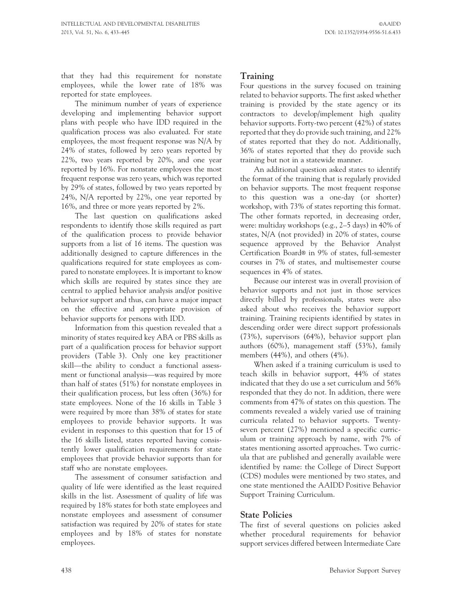that they had this requirement for nonstate employees, while the lower rate of 18% was reported for state employees.

The minimum number of years of experience developing and implementing behavior support plans with people who have IDD required in the qualification process was also evaluated. For state employees, the most frequent response was N/A by 24% of states, followed by zero years reported by 22%, two years reported by 20%, and one year reported by 16%. For nonstate employees the most frequent response was zero years, which was reported by 29% of states, followed by two years reported by 24%, N/A reported by 22%, one year reported by 16%, and three or more years reported by 2%.

The last question on qualifications asked respondents to identify those skills required as part of the qualification process to provide behavior supports from a list of 16 items. The question was additionally designed to capture differences in the qualifications required for state employees as compared to nonstate employees. It is important to know which skills are required by states since they are central to applied behavior analysis and/or positive behavior support and thus, can have a major impact on the effective and appropriate provision of behavior supports for persons with IDD.

Information from this question revealed that a minority of states required key ABA or PBS skills as part of a qualification process for behavior support providers (Table 3). Only one key practitioner skill—the ability to conduct a functional assessment or functional analysis—was required by more than half of states (51%) for nonstate employees in their qualification process, but less often (36%) for state employees. None of the 16 skills in Table 3 were required by more than 38% of states for state employees to provide behavior supports. It was evident in responses to this question that for 15 of the 16 skills listed, states reported having consistently lower qualification requirements for state employees that provide behavior supports than for staff who are nonstate employees.

The assessment of consumer satisfaction and quality of life were identified as the least required skills in the list. Assessment of quality of life was required by 18% states for both state employees and nonstate employees and assessment of consumer satisfaction was required by 20% of states for state employees and by 18% of states for nonstate employees.

## Training

Four questions in the survey focused on training related to behavior supports. The first asked whether training is provided by the state agency or its contractors to develop/implement high quality behavior supports. Forty-two percent (42%) of states reported that they do provide such training, and 22% of states reported that they do not. Additionally, 36% of states reported that they do provide such training but not in a statewide manner.

An additional question asked states to identify the format of the training that is regularly provided on behavior supports. The most frequent response to this question was a one-day (or shorter) workshop, with 73% of states reporting this format. The other formats reported, in decreasing order, were: multiday workshops (e.g., 2–5 days) in 40% of states, N/A (not provided) in 20% of states, course sequence approved by the Behavior Analyst Certification Board® in 9% of states, full-semester courses in 7% of states, and multisemester course sequences in 4% of states.

Because our interest was in overall provision of behavior supports and not just in those services directly billed by professionals, states were also asked about who receives the behavior support training. Training recipients identified by states in descending order were direct support professionals (73%), supervisors (64%), behavior support plan authors (60%), management staff (53%), family members (44%), and others (4%).

When asked if a training curriculum is used to teach skills in behavior support, 44% of states indicated that they do use a set curriculum and 56% responded that they do not. In addition, there were comments from 47% of states on this question. The comments revealed a widely varied use of training curricula related to behavior supports. Twentyseven percent (27%) mentioned a specific curriculum or training approach by name, with 7% of states mentioning assorted approaches. Two curricula that are published and generally available were identified by name: the College of Direct Support (CDS) modules were mentioned by two states, and one state mentioned the AAIDD Positive Behavior Support Training Curriculum.

## State Policies

The first of several questions on policies asked whether procedural requirements for behavior support services differed between Intermediate Care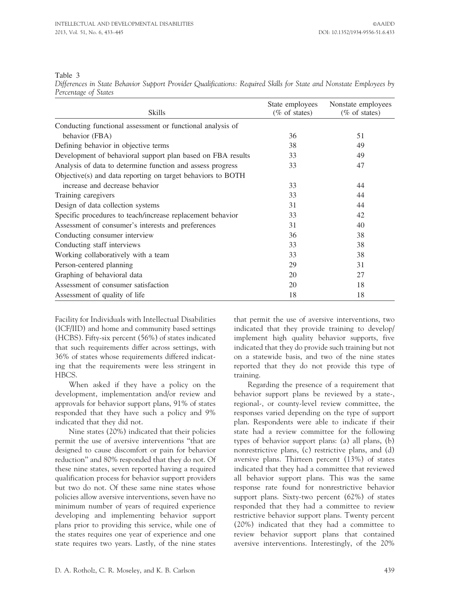Table 3

Differences in State Behavior Support Provider Qualifications: Required Skills for State and Nonstate Employees by Percentage of States

| Skills                                                      | State employees<br>$(\%$ of states) | Nonstate employees<br>$(\%$ of states) |
|-------------------------------------------------------------|-------------------------------------|----------------------------------------|
| Conducting functional assessment or functional analysis of  |                                     |                                        |
| behavior (FBA)                                              | 36                                  | 51                                     |
| Defining behavior in objective terms                        | 38                                  | 49                                     |
| Development of behavioral support plan based on FBA results | 33                                  | 49                                     |
| Analysis of data to determine function and assess progress  | 33                                  | 47                                     |
| Objective(s) and data reporting on target behaviors to BOTH |                                     |                                        |
| increase and decrease behavior                              | 33                                  | 44                                     |
| Training caregivers                                         | 33                                  | 44                                     |
| Design of data collection systems                           | 31                                  | 44                                     |
| Specific procedures to teach/increase replacement behavior  | 33                                  | 42                                     |
| Assessment of consumer's interests and preferences          | 31                                  | 40                                     |
| Conducting consumer interview                               | 36                                  | 38                                     |
| Conducting staff interviews                                 | 33                                  | 38                                     |
| Working collaboratively with a team                         | 33                                  | 38                                     |
| Person-centered planning                                    | 29                                  | 31                                     |
| Graphing of behavioral data                                 | 20                                  | 27                                     |
| Assessment of consumer satisfaction                         | 20                                  | 18                                     |
| Assessment of quality of life                               | 18                                  | 18                                     |

Facility for Individuals with Intellectual Disabilities (ICF/IID) and home and community based settings (HCBS). Fifty-six percent (56%) of states indicated that such requirements differ across settings, with 36% of states whose requirements differed indicating that the requirements were less stringent in HBCS.

When asked if they have a policy on the development, implementation and/or review and approvals for behavior support plans, 91% of states responded that they have such a policy and 9% indicated that they did not.

Nine states (20%) indicated that their policies permit the use of aversive interventions ''that are designed to cause discomfort or pain for behavior reduction'' and 80% responded that they do not. Of these nine states, seven reported having a required qualification process for behavior support providers but two do not. Of these same nine states whose policies allow aversive interventions, seven have no minimum number of years of required experience developing and implementing behavior support plans prior to providing this service, while one of the states requires one year of experience and one state requires two years. Lastly, of the nine states that permit the use of aversive interventions, two indicated that they provide training to develop/ implement high quality behavior supports, five indicated that they do provide such training but not on a statewide basis, and two of the nine states reported that they do not provide this type of training.

Regarding the presence of a requirement that behavior support plans be reviewed by a state-, regional-, or county-level review committee, the responses varied depending on the type of support plan. Respondents were able to indicate if their state had a review committee for the following types of behavior support plans: (a) all plans, (b) nonrestrictive plans, (c) restrictive plans, and (d) aversive plans. Thirteen percent (13%) of states indicated that they had a committee that reviewed all behavior support plans. This was the same response rate found for nonrestrictive behavior support plans. Sixty-two percent (62%) of states responded that they had a committee to review restrictive behavior support plans. Twenty percent (20%) indicated that they had a committee to review behavior support plans that contained aversive interventions. Interestingly, of the 20%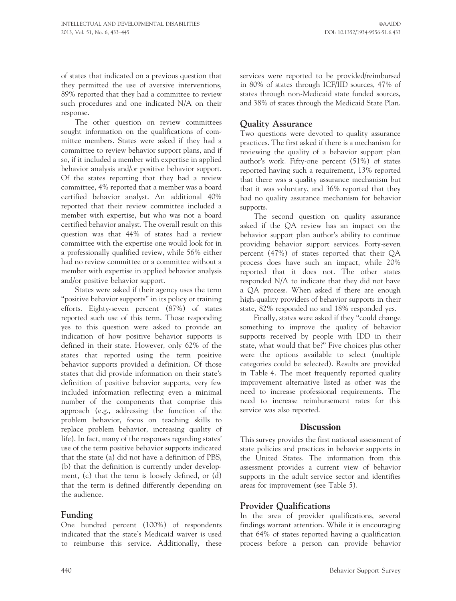of states that indicated on a previous question that they permitted the use of aversive interventions, 89% reported that they had a committee to review such procedures and one indicated N/A on their response.

The other question on review committees sought information on the qualifications of committee members. States were asked if they had a committee to review behavior support plans, and if so, if it included a member with expertise in applied behavior analysis and/or positive behavior support. Of the states reporting that they had a review committee, 4% reported that a member was a board certified behavior analyst. An additional 40% reported that their review committee included a member with expertise, but who was not a board certified behavior analyst. The overall result on this question was that 44% of states had a review committee with the expertise one would look for in a professionally qualified review, while 56% either had no review committee or a committee without a member with expertise in applied behavior analysis and/or positive behavior support.

States were asked if their agency uses the term ''positive behavior supports'' in its policy or training efforts. Eighty-seven percent (87%) of states reported such use of this term. Those responding yes to this question were asked to provide an indication of how positive behavior supports is defined in their state. However, only 62% of the states that reported using the term positive behavior supports provided a definition. Of those states that did provide information on their state's definition of positive behavior supports, very few included information reflecting even a minimal number of the components that comprise this approach (e.g., addressing the function of the problem behavior, focus on teaching skills to replace problem behavior, increasing quality of life). In fact, many of the responses regarding states' use of the term positive behavior supports indicated that the state (a) did not have a definition of PBS, (b) that the definition is currently under development, (c) that the term is loosely defined, or (d) that the term is defined differently depending on the audience.

## Funding

One hundred percent (100%) of respondents indicated that the state's Medicaid waiver is used to reimburse this service. Additionally, these services were reported to be provided/reimbursed in 80% of states through ICF/IID sources, 47% of states through non-Medicaid state funded sources, and 38% of states through the Medicaid State Plan.

## Quality Assurance

Two questions were devoted to quality assurance practices. The first asked if there is a mechanism for reviewing the quality of a behavior support plan author's work. Fifty-one percent (51%) of states reported having such a requirement, 13% reported that there was a quality assurance mechanism but that it was voluntary, and 36% reported that they had no quality assurance mechanism for behavior supports.

The second question on quality assurance asked if the QA review has an impact on the behavior support plan author's ability to continue providing behavior support services. Forty-seven percent (47%) of states reported that their QA process does have such an impact, while 20% reported that it does not. The other states responded N/A to indicate that they did not have a QA process. When asked if there are enough high-quality providers of behavior supports in their state, 82% responded no and 18% responded yes.

Finally, states were asked if they ''could change something to improve the quality of behavior supports received by people with IDD in their state, what would that be?'' Five choices plus other were the options available to select (multiple categories could be selected). Results are provided in Table 4. The most frequently reported quality improvement alternative listed as other was the need to increase professional requirements. The need to increase reimbursement rates for this service was also reported.

## **Discussion**

This survey provides the first national assessment of state policies and practices in behavior supports in the United States. The information from this assessment provides a current view of behavior supports in the adult service sector and identifies areas for improvement (see Table 5).

# Provider Qualifications

In the area of provider qualifications, several findings warrant attention. While it is encouraging that 64% of states reported having a qualification process before a person can provide behavior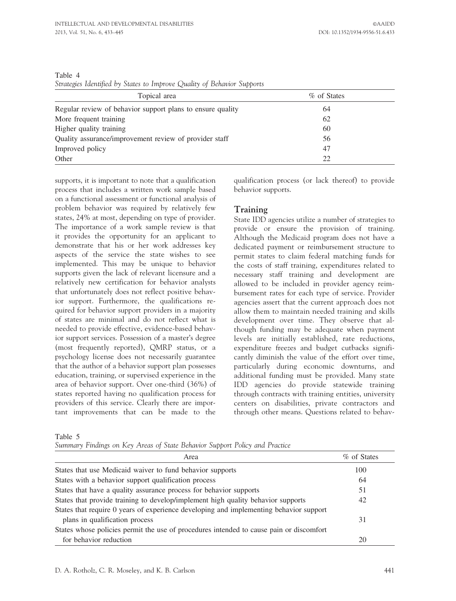| Strategies Identified by States to Improve Quality of Behavior Supports |             |  |  |  |
|-------------------------------------------------------------------------|-------------|--|--|--|
| Topical area                                                            | % of States |  |  |  |
| Regular review of behavior support plans to ensure quality              | 64          |  |  |  |
| More frequent training                                                  | 62          |  |  |  |
| Higher quality training                                                 | 60          |  |  |  |
| Quality assurance/improvement review of provider staff                  | 56          |  |  |  |
| Improved policy                                                         | 47          |  |  |  |
| Other                                                                   | 22          |  |  |  |

Table 4 Strategies Identified by States to Improve Quality of Behavior Supports

supports, it is important to note that a qualification process that includes a written work sample based on a functional assessment or functional analysis of problem behavior was required by relatively few states, 24% at most, depending on type of provider. The importance of a work sample review is that it provides the opportunity for an applicant to demonstrate that his or her work addresses key aspects of the service the state wishes to see implemented. This may be unique to behavior supports given the lack of relevant licensure and a relatively new certification for behavior analysts that unfortunately does not reflect positive behavior support. Furthermore, the qualifications required for behavior support providers in a majority of states are minimal and do not reflect what is needed to provide effective, evidence-based behavior support services. Possession of a master's degree (most frequently reported), QMRP status, or a psychology license does not necessarily guarantee that the author of a behavior support plan possesses education, training, or supervised experience in the area of behavior support. Over one-third (36%) of states reported having no qualification process for providers of this service. Clearly there are important improvements that can be made to the

qualification process (or lack thereof) to provide behavior supports.

## Training

State IDD agencies utilize a number of strategies to provide or ensure the provision of training. Although the Medicaid program does not have a dedicated payment or reimbursement structure to permit states to claim federal matching funds for the costs of staff training, expenditures related to necessary staff training and development are allowed to be included in provider agency reimbursement rates for each type of service. Provider agencies assert that the current approach does not allow them to maintain needed training and skills development over time. They observe that although funding may be adequate when payment levels are initially established, rate reductions, expenditure freezes and budget cutbacks significantly diminish the value of the effort over time, particularly during economic downturns, and additional funding must be provided. Many state IDD agencies do provide statewide training through contracts with training entities, university centers on disabilities, private contractors and through other means. Questions related to behav-

Table 5

Summary Findings on Key Areas of State Behavior Support Policy and Practice

| Area                                                                                    | % of States |
|-----------------------------------------------------------------------------------------|-------------|
| States that use Medicaid waiver to fund behavior supports                               | 100         |
| States with a behavior support qualification process                                    | 64          |
| States that have a quality assurance process for behavior supports                      | 51          |
| States that provide training to develop/implement high quality behavior supports        | 42          |
| States that require 0 years of experience developing and implementing behavior support  |             |
| plans in qualification process                                                          | 31          |
| States whose policies permit the use of procedures intended to cause pain or discomfort |             |
| for behavior reduction                                                                  | 20          |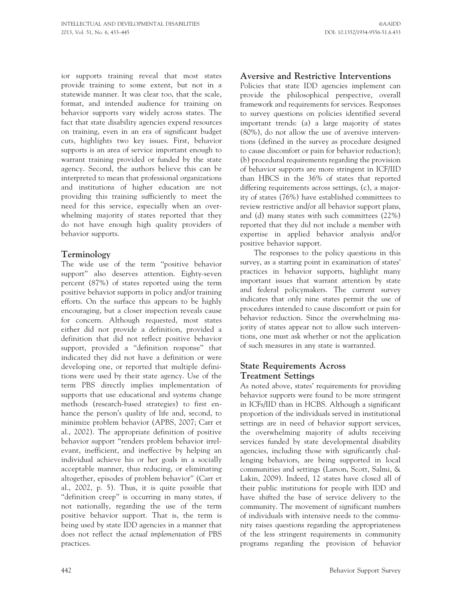ior supports training reveal that most states provide training to some extent, but not in a statewide manner. It was clear too, that the scale, format, and intended audience for training on behavior supports vary widely across states. The fact that state disability agencies expend resources on training, even in an era of significant budget cuts, highlights two key issues. First, behavior supports is an area of service important enough to warrant training provided or funded by the state agency. Second, the authors believe this can be interpreted to mean that professional organizations and institutions of higher education are not providing this training sufficiently to meet the need for this service, especially when an overwhelming majority of states reported that they do not have enough high quality providers of behavior supports.

## Terminology

The wide use of the term ''positive behavior support'' also deserves attention. Eighty-seven percent (87%) of states reported using the term positive behavior supports in policy and/or training efforts. On the surface this appears to be highly encouraging, but a closer inspection reveals cause for concern. Although requested, most states either did not provide a definition, provided a definition that did not reflect positive behavior support, provided a ''definition response'' that indicated they did not have a definition or were developing one, or reported that multiple definitions were used by their state agency. Use of the term PBS directly implies implementation of supports that use educational and systems change methods (research-based strategies) to first enhance the person's quality of life and, second, to minimize problem behavior (APBS, 2007; Carr et al., 2002). The appropriate definition of positive behavior support ''renders problem behavior irrelevant, inefficient, and ineffective by helping an individual achieve his or her goals in a socially acceptable manner, thus reducing, or eliminating altogether, episodes of problem behavior'' (Carr et al., 2002, p. 5). Thus, it is quite possible that "definition creep" is occurring in many states, if not nationally, regarding the use of the term positive behavior support. That is, the term is being used by state IDD agencies in a manner that does not reflect the actual implementation of PBS practices.

## Aversive and Restrictive Interventions

Policies that state IDD agencies implement can provide the philosophical perspective, overall framework and requirements for services. Responses to survey questions on policies identified several important trends: (a) a large majority of states (80%), do not allow the use of aversive interventions (defined in the survey as procedure designed to cause discomfort or pain for behavior reduction); (b) procedural requirements regarding the provision of behavior supports are more stringent in ICF/IID than HBCS in the 36% of states that reported differing requirements across settings, (c), a majority of states (76%) have established committees to review restrictive and/or all behavior support plans, and (d) many states with such committees (22%) reported that they did not include a member with expertise in applied behavior analysis and/or positive behavior support.

The responses to the policy questions in this survey, as a starting point in examination of states' practices in behavior supports, highlight many important issues that warrant attention by state and federal policymakers. The current survey indicates that only nine states permit the use of procedures intended to cause discomfort or pain for behavior reduction. Since the overwhelming majority of states appear not to allow such interventions, one must ask whether or not the application of such measures in any state is warranted.

## State Requirements Across Treatment Settings

As noted above, states' requirements for providing behavior supports were found to be more stringent in ICFs/IID than in HCBS. Although a significant proportion of the individuals served in institutional settings are in need of behavior support services, the overwhelming majority of adults receiving services funded by state developmental disability agencies, including those with significantly challenging behaviors, are being supported in local communities and settings (Larson, Scott, Salmi, & Lakin, 2009). Indeed, 12 states have closed all of their public institutions for people with IDD and have shifted the base of service delivery to the community. The movement of significant numbers of individuals with intensive needs to the community raises questions regarding the appropriateness of the less stringent requirements in community programs regarding the provision of behavior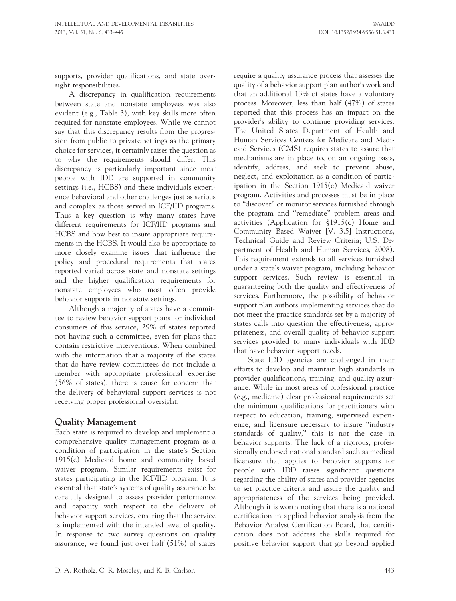supports, provider qualifications, and state oversight responsibilities.

A discrepancy in qualification requirements between state and nonstate employees was also evident (e.g., Table 3), with key skills more often required for nonstate employees. While we cannot say that this discrepancy results from the progression from public to private settings as the primary choice for services, it certainly raises the question as to why the requirements should differ. This discrepancy is particularly important since most people with IDD are supported in community settings (i.e., HCBS) and these individuals experience behavioral and other challenges just as serious and complex as those served in ICF/IID programs. Thus a key question is why many states have different requirements for ICF/IID programs and HCBS and how best to insure appropriate requirements in the HCBS. It would also be appropriate to more closely examine issues that influence the policy and procedural requirements that states reported varied across state and nonstate settings and the higher qualification requirements for nonstate employees who most often provide behavior supports in nonstate settings.

Although a majority of states have a committee to review behavior support plans for individual consumers of this service, 29% of states reported not having such a committee, even for plans that contain restrictive interventions. When combined with the information that a majority of the states that do have review committees do not include a member with appropriate professional expertise (56% of states), there is cause for concern that the delivery of behavioral support services is not receiving proper professional oversight.

## Quality Management

Each state is required to develop and implement a comprehensive quality management program as a condition of participation in the state's Section 1915(c) Medicaid home and community based waiver program. Similar requirements exist for states participating in the ICF/IID program. It is essential that state's systems of quality assurance be carefully designed to assess provider performance and capacity with respect to the delivery of behavior support services, ensuring that the service is implemented with the intended level of quality. In response to two survey questions on quality assurance, we found just over half (51%) of states require a quality assurance process that assesses the quality of a behavior support plan author's work and that an additional 13% of states have a voluntary process. Moreover, less than half (47%) of states reported that this process has an impact on the provider's ability to continue providing services. The United States Department of Health and Human Services Centers for Medicare and Medicaid Services (CMS) requires states to assure that mechanisms are in place to, on an ongoing basis, identify, address, and seek to prevent abuse, neglect, and exploitation as a condition of participation in the Section 1915(c) Medicaid waiver program. Activities and processes must be in place to ''discover'' or monitor services furnished through the program and ''remediate'' problem areas and activities (Application for §1915(c) Home and Community Based Waiver [V. 3.5] Instructions, Technical Guide and Review Criteria; U.S. Department of Health and Human Services, 2008). This requirement extends to all services furnished under a state's waiver program, including behavior support services. Such review is essential in guaranteeing both the quality and effectiveness of services. Furthermore, the possibility of behavior support plan authors implementing services that do not meet the practice standards set by a majority of states calls into question the effectiveness, appropriateness, and overall quality of behavior support services provided to many individuals with IDD that have behavior support needs.

State IDD agencies are challenged in their efforts to develop and maintain high standards in provider qualifications, training, and quality assurance. While in most areas of professional practice (e.g., medicine) clear professional requirements set the minimum qualifications for practitioners with respect to education, training, supervised experience, and licensure necessary to insure ''industry standards of quality,'' this is not the case in behavior supports. The lack of a rigorous, professionally endorsed national standard such as medical licensure that applies to behavior supports for people with IDD raises significant questions regarding the ability of states and provider agencies to set practice criteria and assure the quality and appropriateness of the services being provided. Although it is worth noting that there is a national certification in applied behavior analysis from the Behavior Analyst Certification Board, that certification does not address the skills required for positive behavior support that go beyond applied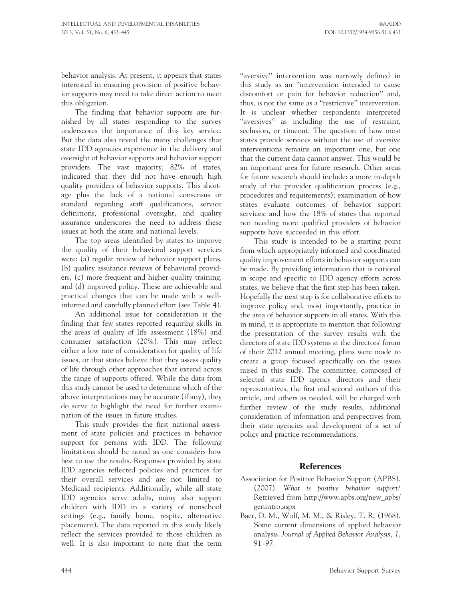behavior analysis. At present, it appears that states interested in ensuring provision of positive behavior supports may need to take direct action to meet this obligation.

The finding that behavior supports are furnished by all states responding to the survey underscores the importance of this key service. But the data also reveal the many challenges that state IDD agencies experience in the delivery and oversight of behavior supports and behavior support providers. The vast majority, 82% of states, indicated that they did not have enough high quality providers of behavior supports. This shortage plus the lack of a national consensus or standard regarding staff qualifications, service definitions, professional oversight, and quality assurance underscores the need to address these issues at both the state and national levels.

The top areas identified by states to improve the quality of their behavioral support services were: (a) regular review of behavior support plans, (b) quality assurance reviews of behavioral providers, (c) more frequent and higher quality training, and (d) improved policy. These are achievable and practical changes that can be made with a wellinformed and carefully planned effort (see Table 4).

An additional issue for consideration is the finding that few states reported requiring skills in the areas of quality of life assessment (18%) and consumer satisfaction (20%). This may reflect either a low rate of consideration for quality of life issues, or that states believe that they assess quality of life through other approaches that extend across the range of supports offered. While the data from this study cannot be used to determine which of the above interpretations may be accurate (if any), they do serve to highlight the need for further examination of the issues in future studies.

This study provides the first national assessment of state policies and practices in behavior support for persons with IDD. The following limitations should be noted as one considers how best to use the results. Responses provided by state IDD agencies reflected policies and practices for their overall services and are not limited to Medicaid recipients. Additionally, while all state IDD agencies serve adults, many also support children with IDD in a variety of nonschool settings (e.g., family home, respite, alternative placement). The data reported in this study likely reflect the services provided to those children as well. It is also important to note that the term

"aversive" intervention was narrowly defined in this study as an ''intervention intended to cause discomfort or pain for behavior reduction'' and, thus, is not the same as a ''restrictive'' intervention. It is unclear whether respondents interpreted "aversives" as including the use of restraint, seclusion, or timeout. The question of how most states provide services without the use of aversive interventions remains an important one, but one that the current data cannot answer. This would be an important area for future research. Other areas for future research should include: a more in-depth study of the provider qualification process (e.g., procedures and requirements); examination of how states evaluate outcomes of behavior support services; and how the 18% of states that reported not needing more qualified providers of behavior supports have succeeded in this effort.

This study is intended to be a starting point from which appropriately informed and coordinated quality improvement efforts in behavior supports can be made. By providing information that is national in scope and specific to IDD agency efforts across states, we believe that the first step has been taken. Hopefully the next step is for collaborative efforts to improve policy and, most importantly, practice in the area of behavior supports in all states. With this in mind, it is appropriate to mention that following the presentation of the survey results with the directors of state IDD systems at the directors' forum of their 2012 annual meeting, plans were made to create a group focused specifically on the issues raised in this study. The committee, composed of selected state IDD agency directors and their representatives, the first and second authors of this article, and others as needed, will be charged with further review of the study results, additional consideration of information and perspectives from their state agencies and development of a set of policy and practice recommendations.

## References

- Association for Positive Behavior Support (APBS). (2007). What is positive behavior support? Retrieved from http://www.apbs.org/new\_apbs/ genintro.aspx
- Baer, D. M., Wolf, M. M., & Risley, T. R. (1968). Some current dimensions of applied behavior analysis. Journal of Applied Behavior Analysis, 1, 91–97.